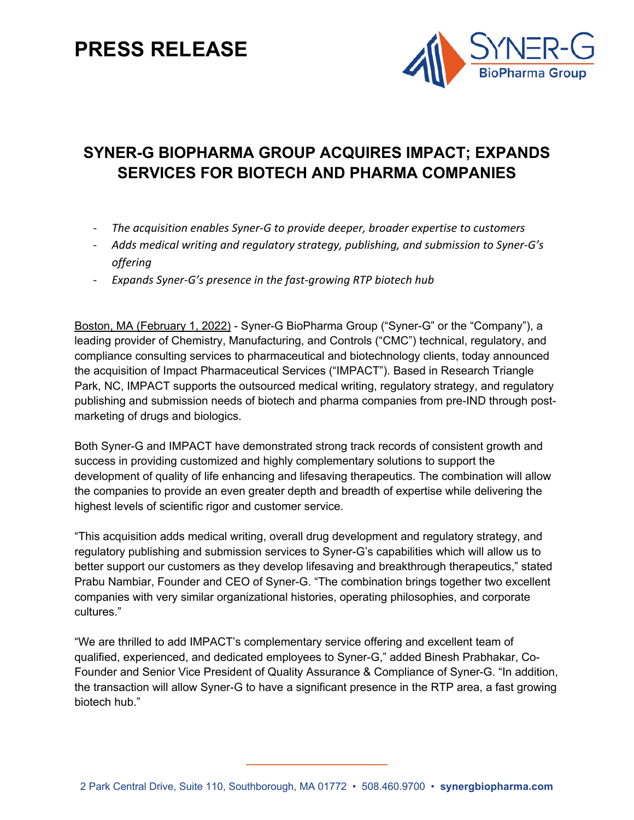# **PRESS RELEASE**



## **SYNER-G BIOPHARMA GROUP ACQUIRES IMPACT; EXPANDS SERVICES FOR BIOTECH AND PHARMA COMPANIES**

- *The acquisition enables Syner-G to provide deeper, broader expertise to customers*
- *Adds medical writing and regulatory strategy, publishing, and submission to Syner-G's offering*
- *Expands Syner-G's presence in the fast-growing RTP biotech hub*

Boston, MA (February 1, 2022) - Syner-G BioPharma Group ("Syner-G" or the "Company"), a leading provider of Chemistry, Manufacturing, and Controls ("CMC") technical, regulatory, and compliance consulting services to pharmaceutical and biotechnology clients, today announced the acquisition of Impact Pharmaceutical Services ("IMPACT"). Based in Research Triangle Park, NC, IMPACT supports the outsourced medical writing, regulatory strategy, and regulatory publishing and submission needs of biotech and pharma companies from pre-IND through postmarketing of drugs and biologics.

Both Syner-G and IMPACT have demonstrated strong track records of consistent growth and success in providing customized and highly complementary solutions to support the development of quality of life enhancing and lifesaving therapeutics. The combination will allow the companies to provide an even greater depth and breadth of expertise while delivering the highest levels of scientific rigor and customer service.

"This acquisition adds medical writing, overall drug development and regulatory strategy, and regulatory publishing and submission services to Syner-G's capabilities which will allow us to better support our customers as they develop lifesaving and breakthrough therapeutics," stated Prabu Nambiar, Founder and CEO of Syner-G. "The combination brings together two excellent companies with very similar organizational histories, operating philosophies, and corporate cultures."

"We are thrilled to add IMPACT's complementary service offering and excellent team of qualified, experienced, and dedicated employees to Syner-G," added Binesh Prabhakar, Co-Founder and Senior Vice President of Quality Assurance & Compliance of Syner-G. "In addition, the transaction will allow Syner-G to have a significant presence in the RTP area, a fast growing biotech hub."